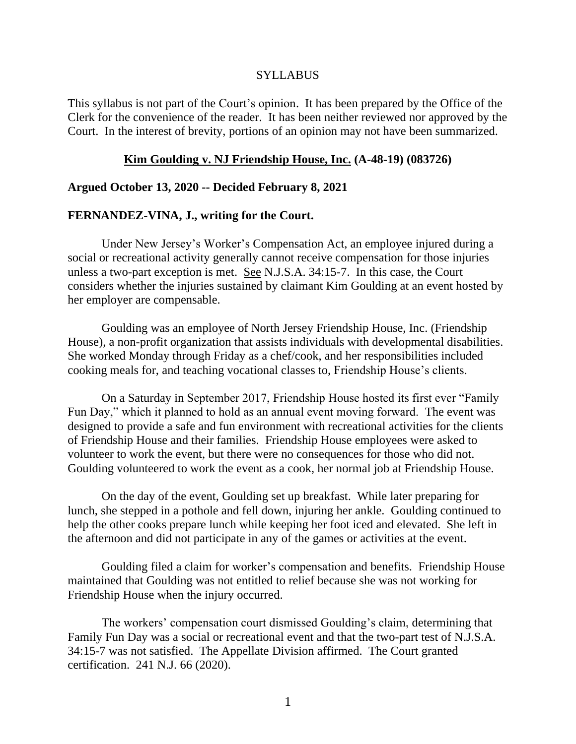#### SYLLABUS

This syllabus is not part of the Court's opinion. It has been prepared by the Office of the Clerk for the convenience of the reader. It has been neither reviewed nor approved by the Court. In the interest of brevity, portions of an opinion may not have been summarized.

#### **Kim Goulding v. NJ Friendship House, Inc. (A-48-19) (083726)**

#### **Argued October 13, 2020 -- Decided February 8, 2021**

#### **FERNANDEZ-VINA, J., writing for the Court.**

Under New Jersey's Worker's Compensation Act, an employee injured during a social or recreational activity generally cannot receive compensation for those injuries unless a two-part exception is met. See N.J.S.A. 34:15-7. In this case, the Court considers whether the injuries sustained by claimant Kim Goulding at an event hosted by her employer are compensable.

Goulding was an employee of North Jersey Friendship House, Inc. (Friendship House), a non-profit organization that assists individuals with developmental disabilities. She worked Monday through Friday as a chef/cook, and her responsibilities included cooking meals for, and teaching vocational classes to, Friendship House's clients.

On a Saturday in September 2017, Friendship House hosted its first ever "Family Fun Day," which it planned to hold as an annual event moving forward. The event was designed to provide a safe and fun environment with recreational activities for the clients of Friendship House and their families. Friendship House employees were asked to volunteer to work the event, but there were no consequences for those who did not. Goulding volunteered to work the event as a cook, her normal job at Friendship House.

On the day of the event, Goulding set up breakfast. While later preparing for lunch, she stepped in a pothole and fell down, injuring her ankle. Goulding continued to help the other cooks prepare lunch while keeping her foot iced and elevated. She left in the afternoon and did not participate in any of the games or activities at the event.

Goulding filed a claim for worker's compensation and benefits. Friendship House maintained that Goulding was not entitled to relief because she was not working for Friendship House when the injury occurred.

The workers' compensation court dismissed Goulding's claim, determining that Family Fun Day was a social or recreational event and that the two-part test of N.J.S.A. 34:15-7 was not satisfied. The Appellate Division affirmed. The Court granted certification. 241 N.J. 66 (2020).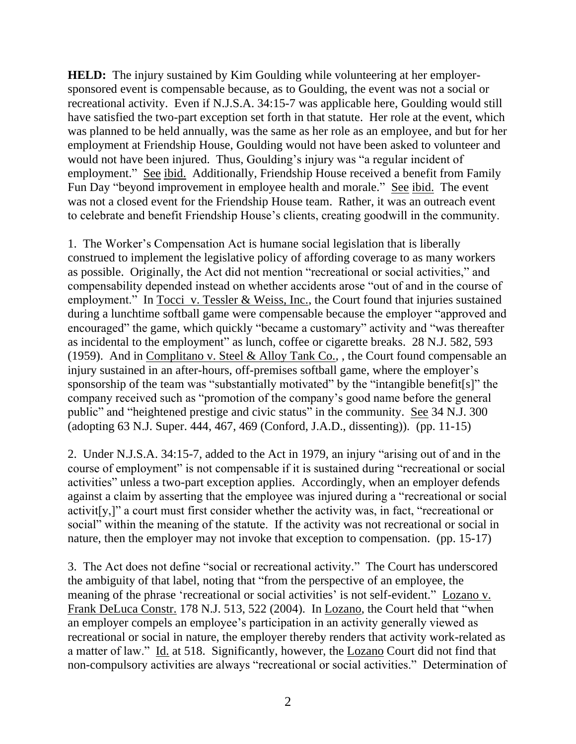**HELD:** The injury sustained by Kim Goulding while volunteering at her employersponsored event is compensable because, as to Goulding, the event was not a social or recreational activity. Even if N.J.S.A. 34:15-7 was applicable here, Goulding would still have satisfied the two-part exception set forth in that statute. Her role at the event, which was planned to be held annually, was the same as her role as an employee, and but for her employment at Friendship House, Goulding would not have been asked to volunteer and would not have been injured. Thus, Goulding's injury was "a regular incident of employment." See ibid. Additionally, Friendship House received a benefit from Family Fun Day "beyond improvement in employee health and morale." See ibid. The event was not a closed event for the Friendship House team. Rather, it was an outreach event to celebrate and benefit Friendship House's clients, creating goodwill in the community.

1. The Worker's Compensation Act is humane social legislation that is liberally construed to implement the legislative policy of affording coverage to as many workers as possible. Originally, the Act did not mention "recreational or social activities," and compensability depended instead on whether accidents arose "out of and in the course of employment." In Tocci v. Tessler & Weiss, Inc., the Court found that injuries sustained during a lunchtime softball game were compensable because the employer "approved and encouraged" the game, which quickly "became a customary" activity and "was thereafter as incidental to the employment" as lunch, coffee or cigarette breaks. 28 N.J. 582, 593 (1959). And in Complitano v. Steel & Alloy Tank Co., , the Court found compensable an injury sustained in an after-hours, off-premises softball game, where the employer's sponsorship of the team was "substantially motivated" by the "intangible benefit[s]" the company received such as "promotion of the company's good name before the general public" and "heightened prestige and civic status" in the community. See 34 N.J. 300 (adopting 63 N.J. Super. 444, 467, 469 (Conford, J.A.D., dissenting)). (pp. 11-15)

2. Under N.J.S.A. 34:15-7, added to the Act in 1979, an injury "arising out of and in the course of employment" is not compensable if it is sustained during "recreational or social activities" unless a two-part exception applies. Accordingly, when an employer defends against a claim by asserting that the employee was injured during a "recreational or social activit[y,]" a court must first consider whether the activity was, in fact, "recreational or social" within the meaning of the statute. If the activity was not recreational or social in nature, then the employer may not invoke that exception to compensation. (pp. 15-17)

3. The Act does not define "social or recreational activity." The Court has underscored the ambiguity of that label, noting that "from the perspective of an employee, the meaning of the phrase 'recreational or social activities' is not self-evident." Lozano v. Frank DeLuca Constr. 178 N.J. 513, 522 (2004). In Lozano, the Court held that "when an employer compels an employee's participation in an activity generally viewed as recreational or social in nature, the employer thereby renders that activity work-related as a matter of law." Id. at 518. Significantly, however, the Lozano Court did not find that non-compulsory activities are always "recreational or social activities." Determination of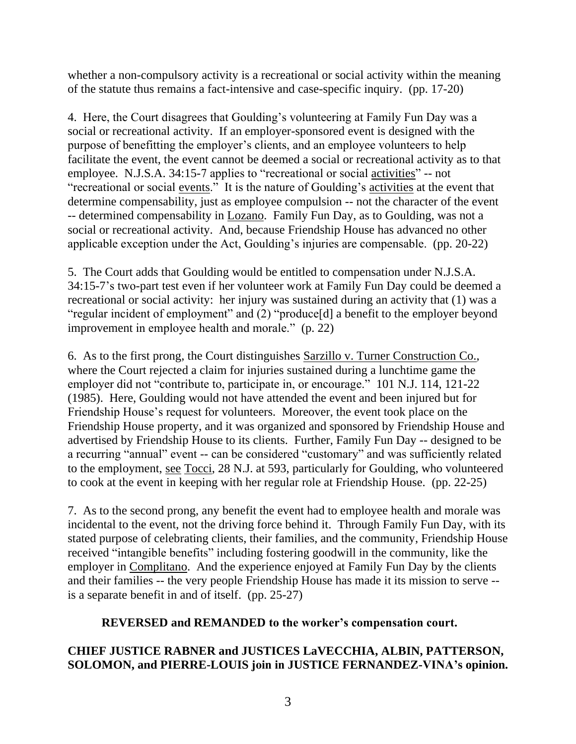whether a non-compulsory activity is a recreational or social activity within the meaning of the statute thus remains a fact-intensive and case-specific inquiry. (pp. 17-20)

4. Here, the Court disagrees that Goulding's volunteering at Family Fun Day was a social or recreational activity. If an employer-sponsored event is designed with the purpose of benefitting the employer's clients, and an employee volunteers to help facilitate the event, the event cannot be deemed a social or recreational activity as to that employee. N.J.S.A. 34:15-7 applies to "recreational or social activities" -- not "recreational or social events." It is the nature of Goulding's activities at the event that determine compensability, just as employee compulsion -- not the character of the event -- determined compensability in Lozano. Family Fun Day, as to Goulding, was not a social or recreational activity. And, because Friendship House has advanced no other applicable exception under the Act, Goulding's injuries are compensable. (pp. 20-22)

5. The Court adds that Goulding would be entitled to compensation under N.J.S.A. 34:15-7's two-part test even if her volunteer work at Family Fun Day could be deemed a recreational or social activity: her injury was sustained during an activity that (1) was a "regular incident of employment" and (2) "produce[d] a benefit to the employer beyond improvement in employee health and morale." (p. 22)

6. As to the first prong, the Court distinguishes Sarzillo v. Turner Construction Co., where the Court rejected a claim for injuries sustained during a lunchtime game the employer did not "contribute to, participate in, or encourage." 101 N.J. 114, 121-22 (1985). Here, Goulding would not have attended the event and been injured but for Friendship House's request for volunteers. Moreover, the event took place on the Friendship House property, and it was organized and sponsored by Friendship House and advertised by Friendship House to its clients. Further, Family Fun Day -- designed to be a recurring "annual" event -- can be considered "customary" and was sufficiently related to the employment, see Tocci, 28 N.J. at 593, particularly for Goulding, who volunteered to cook at the event in keeping with her regular role at Friendship House. (pp. 22-25)

7. As to the second prong, any benefit the event had to employee health and morale was incidental to the event, not the driving force behind it. Through Family Fun Day, with its stated purpose of celebrating clients, their families, and the community, Friendship House received "intangible benefits" including fostering goodwill in the community, like the employer in Complitano. And the experience enjoyed at Family Fun Day by the clients and their families -- the very people Friendship House has made it its mission to serve - is a separate benefit in and of itself. (pp. 25-27)

# **REVERSED and REMANDED to the worker's compensation court.**

# **CHIEF JUSTICE RABNER and JUSTICES LaVECCHIA, ALBIN, PATTERSON, SOLOMON, and PIERRE-LOUIS join in JUSTICE FERNANDEZ-VINA's opinion.**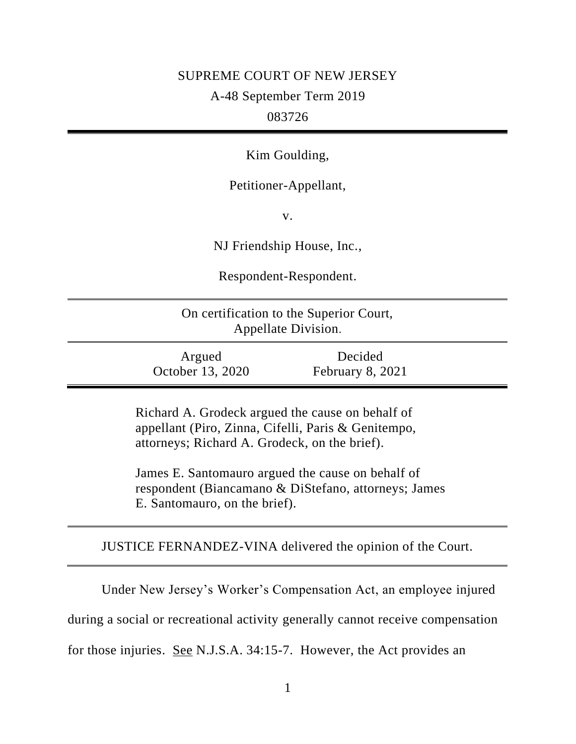# SUPREME COURT OF NEW JERSEY

A-48 September Term 2019

# 083726

Kim Goulding,

# Petitioner-Appellant,

v.

NJ Friendship House, Inc.,

Respondent-Respondent.

| On certification to the Superior Court, |  |
|-----------------------------------------|--|
| Appellate Division.                     |  |

| Argued           |  |  |  |
|------------------|--|--|--|
| October 13, 2020 |  |  |  |

Decided February 8, 2021

Richard A. Grodeck argued the cause on behalf of appellant (Piro, Zinna, Cifelli, Paris & Genitempo, attorneys; Richard A. Grodeck, on the brief).

James E. Santomauro argued the cause on behalf of respondent (Biancamano & DiStefano, attorneys; James E. Santomauro, on the brief).

JUSTICE FERNANDEZ-VINA delivered the opinion of the Court.

Under New Jersey's Worker's Compensation Act, an employee injured

during a social or recreational activity generally cannot receive compensation

for those injuries. See N.J.S.A. 34:15-7. However, the Act provides an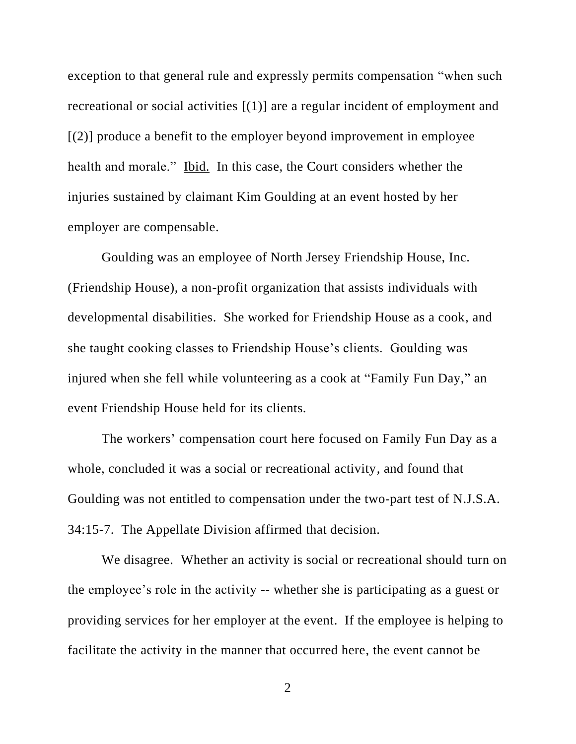exception to that general rule and expressly permits compensation "when such recreational or social activities [(1)] are a regular incident of employment and  $[(2)]$  produce a benefit to the employer beyond improvement in employee health and morale." Ibid. In this case, the Court considers whether the injuries sustained by claimant Kim Goulding at an event hosted by her employer are compensable.

Goulding was an employee of North Jersey Friendship House, Inc. (Friendship House), a non-profit organization that assists individuals with developmental disabilities. She worked for Friendship House as a cook, and she taught cooking classes to Friendship House's clients. Goulding was injured when she fell while volunteering as a cook at "Family Fun Day," an event Friendship House held for its clients.

The workers' compensation court here focused on Family Fun Day as a whole, concluded it was a social or recreational activity, and found that Goulding was not entitled to compensation under the two-part test of N.J.S.A. 34:15-7. The Appellate Division affirmed that decision.

We disagree. Whether an activity is social or recreational should turn on the employee's role in the activity -- whether she is participating as a guest or providing services for her employer at the event. If the employee is helping to facilitate the activity in the manner that occurred here, the event cannot be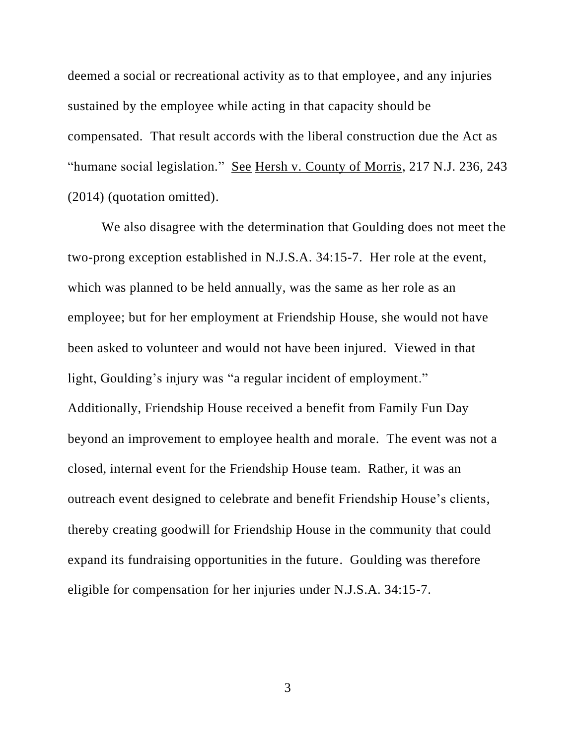deemed a social or recreational activity as to that employee, and any injuries sustained by the employee while acting in that capacity should be compensated. That result accords with the liberal construction due the Act as "humane social legislation." See Hersh v. County of Morris, 217 N.J. 236, 243 (2014) (quotation omitted).

We also disagree with the determination that Goulding does not meet the two-prong exception established in N.J.S.A. 34:15-7. Her role at the event, which was planned to be held annually, was the same as her role as an employee; but for her employment at Friendship House, she would not have been asked to volunteer and would not have been injured. Viewed in that light, Goulding's injury was "a regular incident of employment." Additionally, Friendship House received a benefit from Family Fun Day beyond an improvement to employee health and morale. The event was not a closed, internal event for the Friendship House team. Rather, it was an outreach event designed to celebrate and benefit Friendship House's clients, thereby creating goodwill for Friendship House in the community that could expand its fundraising opportunities in the future. Goulding was therefore eligible for compensation for her injuries under N.J.S.A. 34:15-7.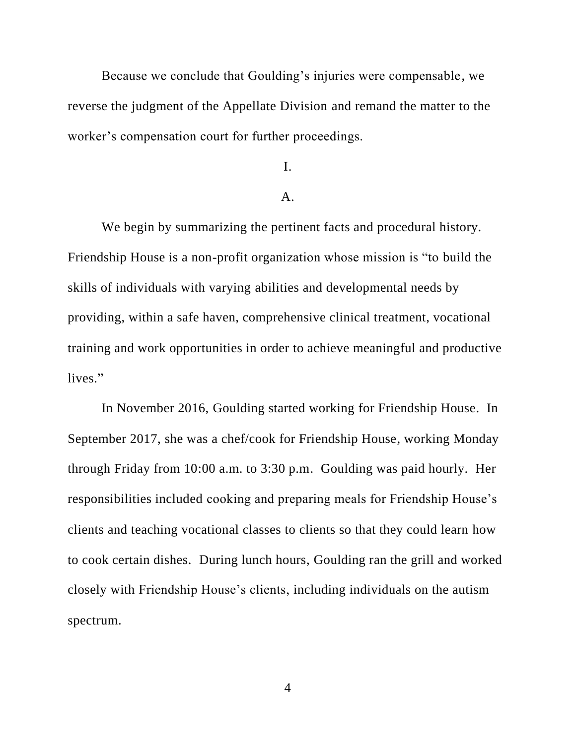Because we conclude that Goulding's injuries were compensable, we reverse the judgment of the Appellate Division and remand the matter to the worker's compensation court for further proceedings.

I.

## A.

We begin by summarizing the pertinent facts and procedural history. Friendship House is a non-profit organization whose mission is "to build the skills of individuals with varying abilities and developmental needs by providing, within a safe haven, comprehensive clinical treatment, vocational training and work opportunities in order to achieve meaningful and productive lives."

In November 2016, Goulding started working for Friendship House. In September 2017, she was a chef/cook for Friendship House, working Monday through Friday from 10:00 a.m. to 3:30 p.m. Goulding was paid hourly. Her responsibilities included cooking and preparing meals for Friendship House's clients and teaching vocational classes to clients so that they could learn how to cook certain dishes. During lunch hours, Goulding ran the grill and worked closely with Friendship House's clients, including individuals on the autism spectrum.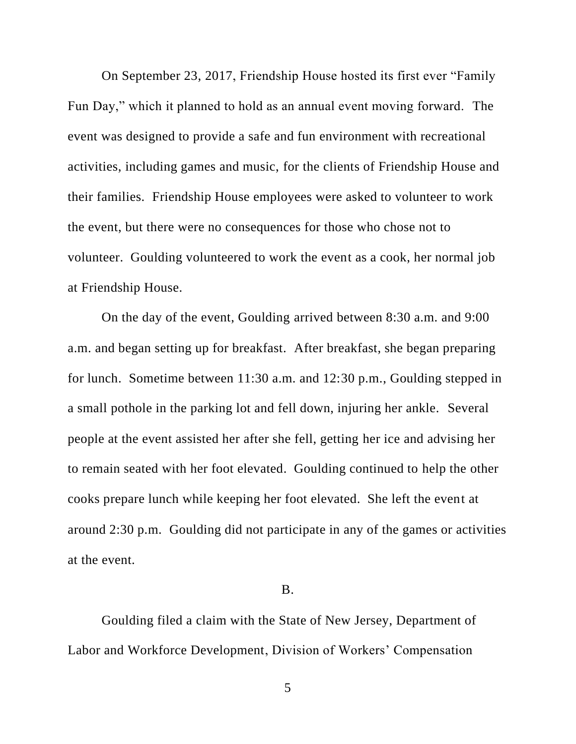On September 23, 2017, Friendship House hosted its first ever "Family Fun Day," which it planned to hold as an annual event moving forward. The event was designed to provide a safe and fun environment with recreational activities, including games and music, for the clients of Friendship House and their families. Friendship House employees were asked to volunteer to work the event, but there were no consequences for those who chose not to volunteer. Goulding volunteered to work the event as a cook, her normal job at Friendship House.

On the day of the event, Goulding arrived between 8:30 a.m. and 9:00 a.m. and began setting up for breakfast. After breakfast, she began preparing for lunch. Sometime between 11:30 a.m. and 12:30 p.m., Goulding stepped in a small pothole in the parking lot and fell down, injuring her ankle. Several people at the event assisted her after she fell, getting her ice and advising her to remain seated with her foot elevated. Goulding continued to help the other cooks prepare lunch while keeping her foot elevated. She left the event at around 2:30 p.m. Goulding did not participate in any of the games or activities at the event.

#### B.

Goulding filed a claim with the State of New Jersey, Department of Labor and Workforce Development, Division of Workers' Compensation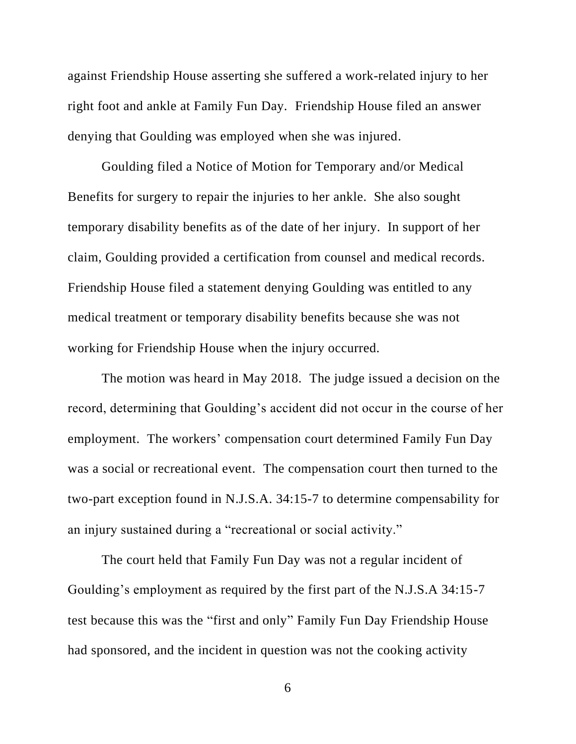against Friendship House asserting she suffered a work-related injury to her right foot and ankle at Family Fun Day. Friendship House filed an answer denying that Goulding was employed when she was injured.

Goulding filed a Notice of Motion for Temporary and/or Medical Benefits for surgery to repair the injuries to her ankle. She also sought temporary disability benefits as of the date of her injury. In support of her claim, Goulding provided a certification from counsel and medical records. Friendship House filed a statement denying Goulding was entitled to any medical treatment or temporary disability benefits because she was not working for Friendship House when the injury occurred.

The motion was heard in May 2018. The judge issued a decision on the record, determining that Goulding's accident did not occur in the course of her employment. The workers' compensation court determined Family Fun Day was a social or recreational event. The compensation court then turned to the two-part exception found in N.J.S.A. 34:15-7 to determine compensability for an injury sustained during a "recreational or social activity."

The court held that Family Fun Day was not a regular incident of Goulding's employment as required by the first part of the N.J.S.A 34:15-7 test because this was the "first and only" Family Fun Day Friendship House had sponsored, and the incident in question was not the cooking activity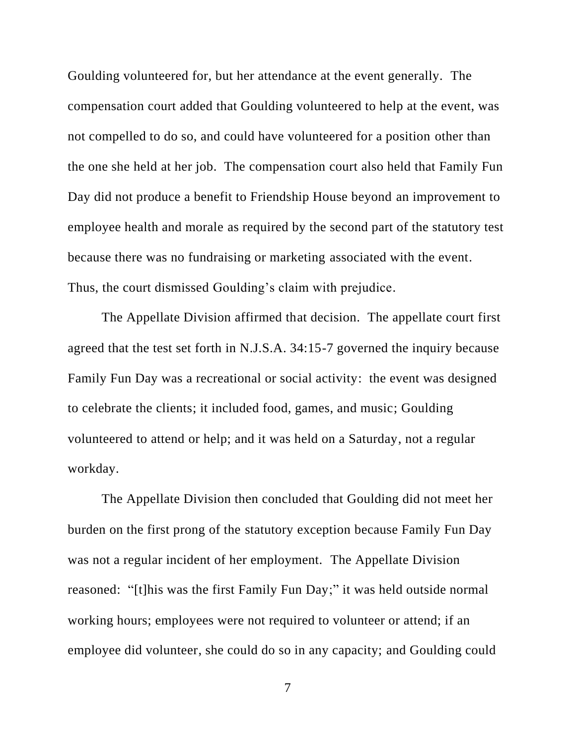Goulding volunteered for, but her attendance at the event generally. The compensation court added that Goulding volunteered to help at the event, was not compelled to do so, and could have volunteered for a position other than the one she held at her job. The compensation court also held that Family Fun Day did not produce a benefit to Friendship House beyond an improvement to employee health and morale as required by the second part of the statutory test because there was no fundraising or marketing associated with the event. Thus, the court dismissed Goulding's claim with prejudice.

The Appellate Division affirmed that decision. The appellate court first agreed that the test set forth in N.J.S.A. 34:15-7 governed the inquiry because Family Fun Day was a recreational or social activity: the event was designed to celebrate the clients; it included food, games, and music; Goulding volunteered to attend or help; and it was held on a Saturday, not a regular workday.

The Appellate Division then concluded that Goulding did not meet her burden on the first prong of the statutory exception because Family Fun Day was not a regular incident of her employment. The Appellate Division reasoned: "[t]his was the first Family Fun Day;" it was held outside normal working hours; employees were not required to volunteer or attend; if an employee did volunteer, she could do so in any capacity; and Goulding could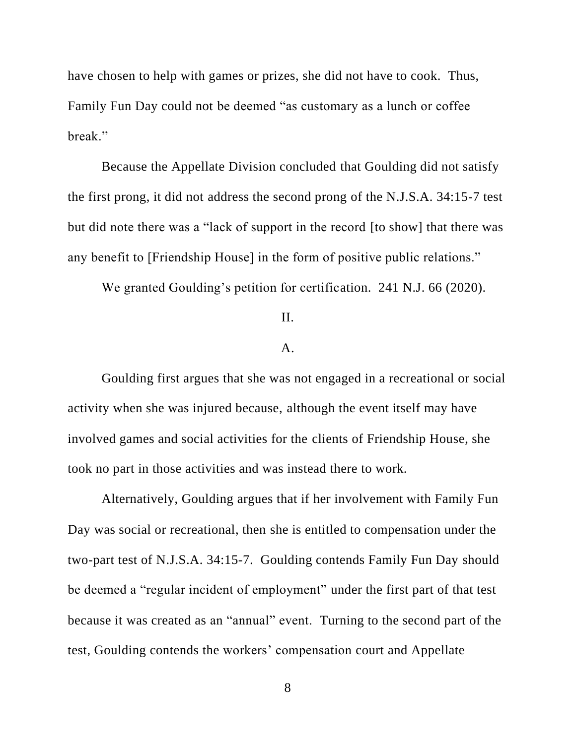have chosen to help with games or prizes, she did not have to cook. Thus, Family Fun Day could not be deemed "as customary as a lunch or coffee break."

Because the Appellate Division concluded that Goulding did not satisfy the first prong, it did not address the second prong of the N.J.S.A. 34:15-7 test but did note there was a "lack of support in the record [to show] that there was any benefit to [Friendship House] in the form of positive public relations."

We granted Goulding's petition for certification. 241 N.J. 66 (2020).

## II.

#### A.

Goulding first argues that she was not engaged in a recreational or social activity when she was injured because, although the event itself may have involved games and social activities for the clients of Friendship House, she took no part in those activities and was instead there to work.

Alternatively, Goulding argues that if her involvement with Family Fun Day was social or recreational, then she is entitled to compensation under the two-part test of N.J.S.A. 34:15-7. Goulding contends Family Fun Day should be deemed a "regular incident of employment" under the first part of that test because it was created as an "annual" event. Turning to the second part of the test, Goulding contends the workers' compensation court and Appellate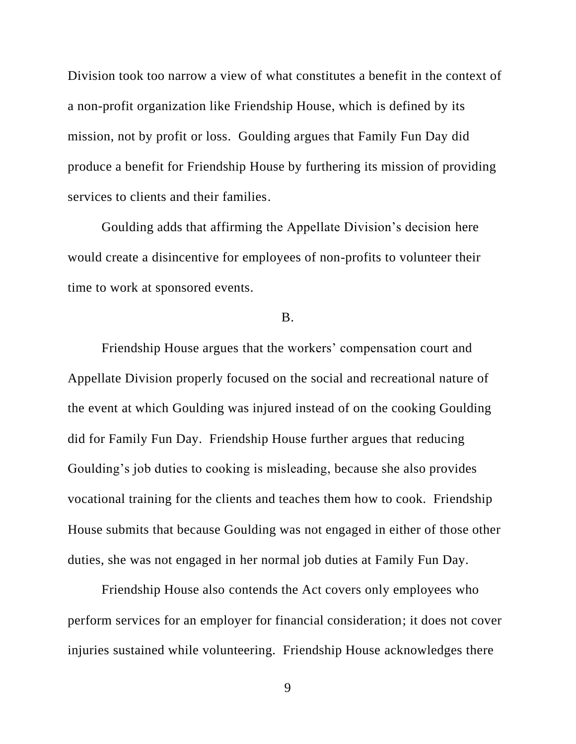Division took too narrow a view of what constitutes a benefit in the context of a non-profit organization like Friendship House, which is defined by its mission, not by profit or loss. Goulding argues that Family Fun Day did produce a benefit for Friendship House by furthering its mission of providing services to clients and their families.

Goulding adds that affirming the Appellate Division's decision here would create a disincentive for employees of non-profits to volunteer their time to work at sponsored events.

## B.

Friendship House argues that the workers' compensation court and Appellate Division properly focused on the social and recreational nature of the event at which Goulding was injured instead of on the cooking Goulding did for Family Fun Day. Friendship House further argues that reducing Goulding's job duties to cooking is misleading, because she also provides vocational training for the clients and teaches them how to cook. Friendship House submits that because Goulding was not engaged in either of those other duties, she was not engaged in her normal job duties at Family Fun Day.

Friendship House also contends the Act covers only employees who perform services for an employer for financial consideration; it does not cover injuries sustained while volunteering. Friendship House acknowledges there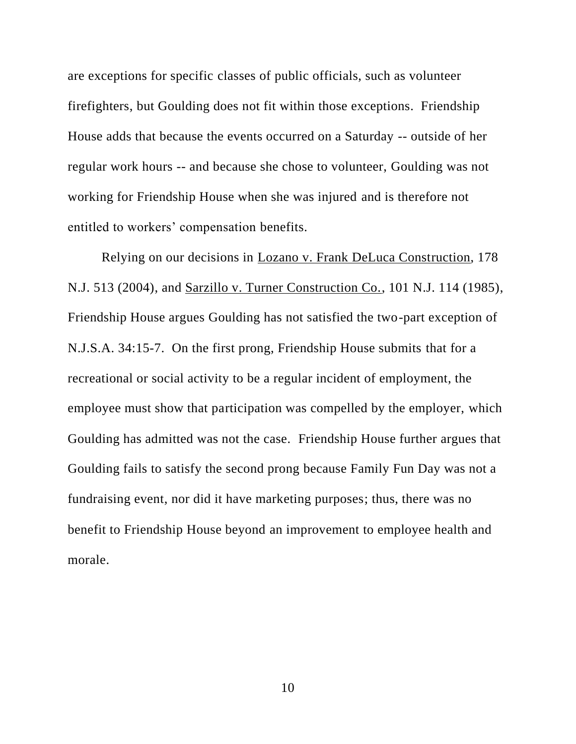are exceptions for specific classes of public officials, such as volunteer firefighters, but Goulding does not fit within those exceptions. Friendship House adds that because the events occurred on a Saturday -- outside of her regular work hours -- and because she chose to volunteer, Goulding was not working for Friendship House when she was injured and is therefore not entitled to workers' compensation benefits.

Relying on our decisions in Lozano v. Frank DeLuca Construction, 178 N.J. 513 (2004), and Sarzillo v. Turner Construction Co., 101 N.J. 114 (1985), Friendship House argues Goulding has not satisfied the two-part exception of N.J.S.A. 34:15-7. On the first prong, Friendship House submits that for a recreational or social activity to be a regular incident of employment, the employee must show that participation was compelled by the employer, which Goulding has admitted was not the case. Friendship House further argues that Goulding fails to satisfy the second prong because Family Fun Day was not a fundraising event, nor did it have marketing purposes; thus, there was no benefit to Friendship House beyond an improvement to employee health and morale.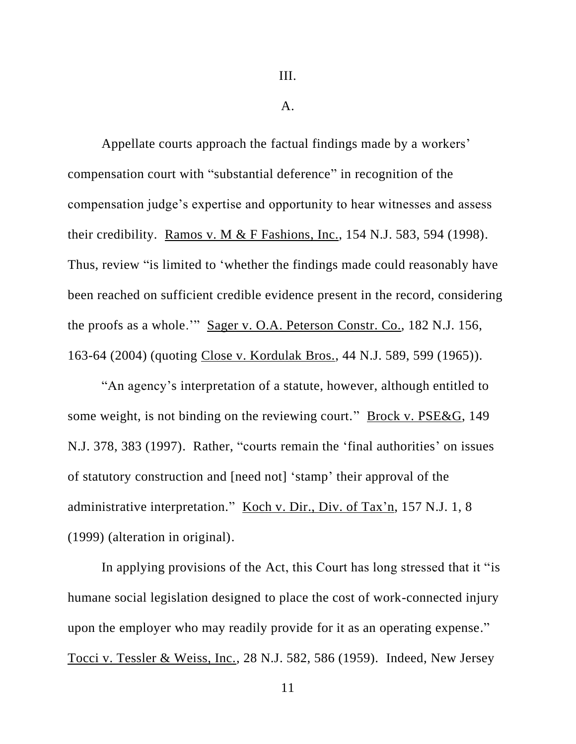III.

A.

Appellate courts approach the factual findings made by a workers' compensation court with "substantial deference" in recognition of the compensation judge's expertise and opportunity to hear witnesses and assess their credibility. Ramos v. M & F Fashions, Inc., 154 N.J. 583, 594 (1998). Thus, review "is limited to 'whether the findings made could reasonably have been reached on sufficient credible evidence present in the record, considering the proofs as a whole.'" Sager v. O.A. Peterson Constr. Co., 182 N.J. 156, 163-64 (2004) (quoting Close v. Kordulak Bros., 44 N.J. 589, 599 (1965)).

"An agency's interpretation of a statute, however, although entitled to some weight, is not binding on the reviewing court." Brock v. PSE&G, 149 N.J. 378, 383 (1997). Rather, "courts remain the 'final authorities' on issues of statutory construction and [need not] 'stamp' their approval of the administrative interpretation." Koch v. Dir., Div. of Tax'n, 157 N.J. 1, 8 (1999) (alteration in original).

In applying provisions of the Act, this Court has long stressed that it "is humane social legislation designed to place the cost of work-connected injury upon the employer who may readily provide for it as an operating expense." Tocci v. Tessler & Weiss, Inc., 28 N.J. 582, 586 (1959). Indeed, New Jersey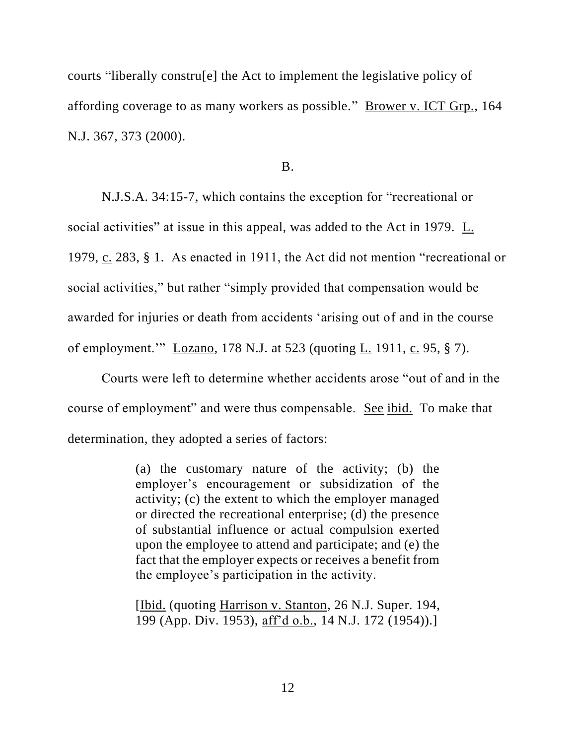courts "liberally constru[e] the Act to implement the legislative policy of affording coverage to as many workers as possible." Brower v. ICT Grp., 164 N.J. 367, 373 (2000).

B.

N.J.S.A. 34:15-7, which contains the exception for "recreational or social activities" at issue in this appeal, was added to the Act in 1979. L. 1979, c. 283, § 1. As enacted in 1911, the Act did not mention "recreational or social activities," but rather "simply provided that compensation would be awarded for injuries or death from accidents 'arising out of and in the course of employment.'" Lozano, 178 N.J. at 523 (quoting L. 1911, c. 95, § 7).

Courts were left to determine whether accidents arose "out of and in the course of employment" and were thus compensable. See ibid. To make that determination, they adopted a series of factors:

> (a) the customary nature of the activity; (b) the employer's encouragement or subsidization of the activity; (c) the extent to which the employer managed or directed the recreational enterprise; (d) the presence of substantial influence or actual compulsion exerted upon the employee to attend and participate; and (e) the fact that the employer expects or receives a benefit from the employee's participation in the activity.

> [Ibid. (quoting Harrison v. Stanton, 26 N.J. Super. 194, 199 (App. Div. 1953), aff'd o.b., 14 N.J. 172 (1954)).]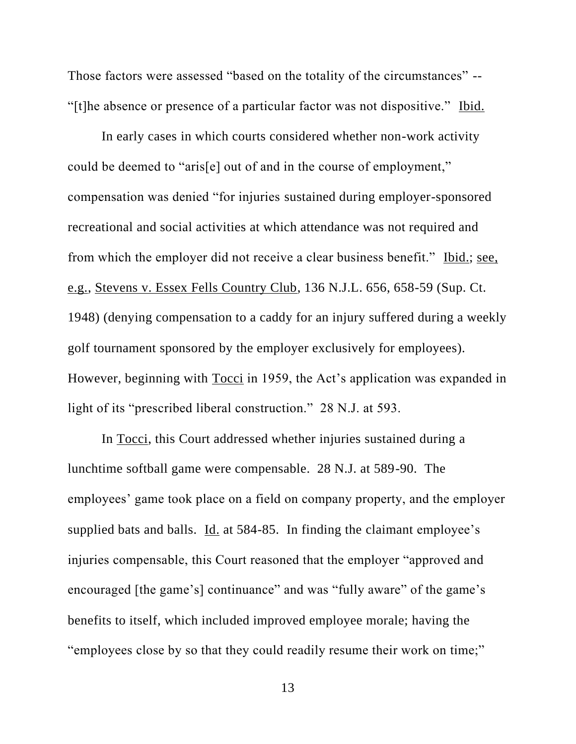Those factors were assessed "based on the totality of the circumstances" -- "[t]he absence or presence of a particular factor was not dispositive." Ibid.

In early cases in which courts considered whether non-work activity could be deemed to "aris[e] out of and in the course of employment," compensation was denied "for injuries sustained during employer-sponsored recreational and social activities at which attendance was not required and from which the employer did not receive a clear business benefit." Ibid.; see, e.g., Stevens v. Essex Fells Country Club, 136 N.J.L. 656, 658-59 (Sup. Ct. 1948) (denying compensation to a caddy for an injury suffered during a weekly golf tournament sponsored by the employer exclusively for employees). However, beginning with Tocci in 1959, the Act's application was expanded in light of its "prescribed liberal construction." 28 N.J. at 593.

In Tocci, this Court addressed whether injuries sustained during a lunchtime softball game were compensable. 28 N.J. at 589-90. The employees' game took place on a field on company property, and the employer supplied bats and balls. Id. at 584-85. In finding the claimant employee's injuries compensable, this Court reasoned that the employer "approved and encouraged [the game's] continuance" and was "fully aware" of the game's benefits to itself, which included improved employee morale; having the "employees close by so that they could readily resume their work on time;"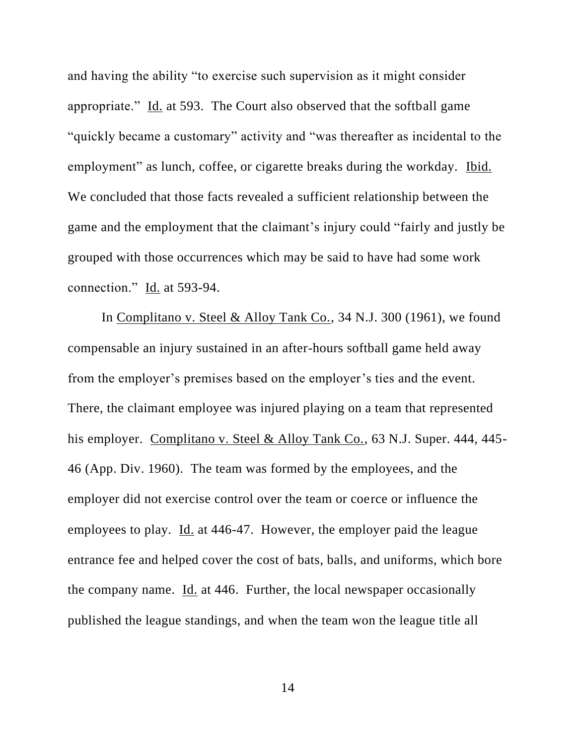and having the ability "to exercise such supervision as it might consider appropriate." Id. at 593. The Court also observed that the softball game "quickly became a customary" activity and "was thereafter as incidental to the employment" as lunch, coffee, or cigarette breaks during the workday. Ibid. We concluded that those facts revealed a sufficient relationship between the game and the employment that the claimant's injury could "fairly and justly be grouped with those occurrences which may be said to have had some work connection." Id. at 593-94.

In Complitano v. Steel & Alloy Tank Co., 34 N.J. 300 (1961), we found compensable an injury sustained in an after-hours softball game held away from the employer's premises based on the employer's ties and the event. There, the claimant employee was injured playing on a team that represented his employer. Complitano v. Steel & Alloy Tank Co., 63 N.J. Super. 444, 445-46 (App. Div. 1960). The team was formed by the employees, and the employer did not exercise control over the team or coerce or influence the employees to play. Id. at 446-47. However, the employer paid the league entrance fee and helped cover the cost of bats, balls, and uniforms, which bore the company name. Id. at 446. Further, the local newspaper occasionally published the league standings, and when the team won the league title all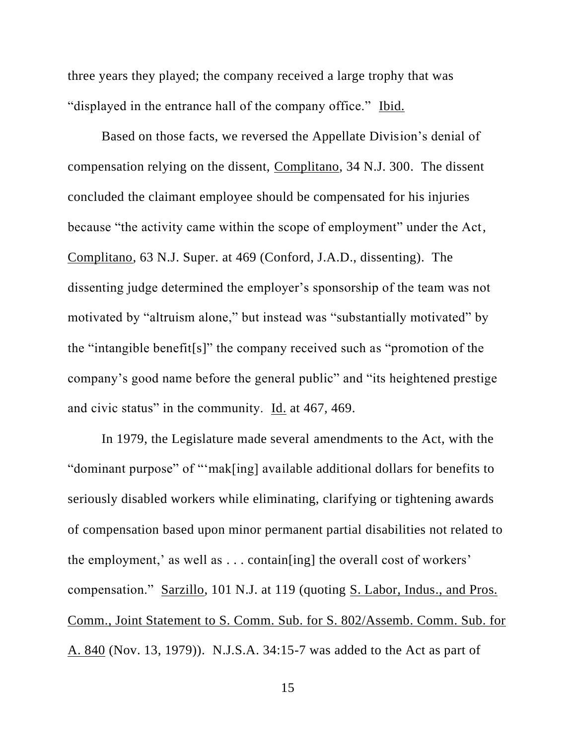three years they played; the company received a large trophy that was "displayed in the entrance hall of the company office." Ibid.

Based on those facts, we reversed the Appellate Division's denial of compensation relying on the dissent, Complitano, 34 N.J. 300. The dissent concluded the claimant employee should be compensated for his injuries because "the activity came within the scope of employment" under the Act, Complitano, 63 N.J. Super. at 469 (Conford, J.A.D., dissenting). The dissenting judge determined the employer's sponsorship of the team was not motivated by "altruism alone," but instead was "substantially motivated" by the "intangible benefit[s]" the company received such as "promotion of the company's good name before the general public" and "its heightened prestige and civic status" in the community. Id. at 467, 469.

In 1979, the Legislature made several amendments to the Act, with the "dominant purpose" of "'mak[ing] available additional dollars for benefits to seriously disabled workers while eliminating, clarifying or tightening awards of compensation based upon minor permanent partial disabilities not related to the employment,' as well as . . . contain[ing] the overall cost of workers' compensation." Sarzillo, 101 N.J. at 119 (quoting S. Labor, Indus., and Pros. Comm., Joint Statement to S. Comm. Sub. for S. 802/Assemb. Comm. Sub. for A. 840 (Nov. 13, 1979)). N.J.S.A. 34:15-7 was added to the Act as part of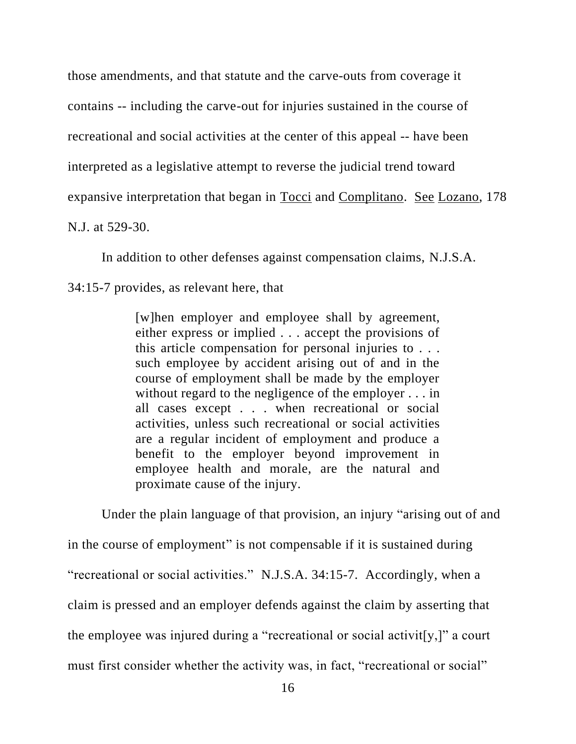those amendments, and that statute and the carve-outs from coverage it contains -- including the carve-out for injuries sustained in the course of recreational and social activities at the center of this appeal -- have been interpreted as a legislative attempt to reverse the judicial trend toward expansive interpretation that began in Tocci and Complitano. See Lozano, 178 N.J. at 529-30.

In addition to other defenses against compensation claims, N.J.S.A.

34:15-7 provides, as relevant here, that

[w]hen employer and employee shall by agreement, either express or implied . . . accept the provisions of this article compensation for personal injuries to . . . such employee by accident arising out of and in the course of employment shall be made by the employer without regard to the negligence of the employer . . . in all cases except . . . when recreational or social activities, unless such recreational or social activities are a regular incident of employment and produce a benefit to the employer beyond improvement in employee health and morale, are the natural and proximate cause of the injury.

Under the plain language of that provision, an injury "arising out of and in the course of employment" is not compensable if it is sustained during "recreational or social activities." N.J.S.A. 34:15-7. Accordingly, when a claim is pressed and an employer defends against the claim by asserting that the employee was injured during a "recreational or social activit[y,]" a court must first consider whether the activity was, in fact, "recreational or social"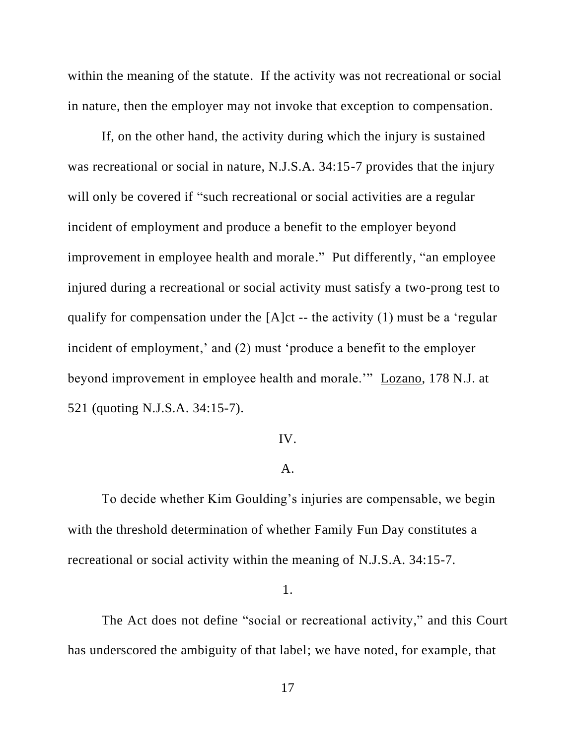within the meaning of the statute. If the activity was not recreational or social in nature, then the employer may not invoke that exception to compensation.

If, on the other hand, the activity during which the injury is sustained was recreational or social in nature, N.J.S.A. 34:15-7 provides that the injury will only be covered if "such recreational or social activities are a regular incident of employment and produce a benefit to the employer beyond improvement in employee health and morale." Put differently, "an employee injured during a recreational or social activity must satisfy a two-prong test to qualify for compensation under the [A]ct -- the activity (1) must be a 'regular incident of employment,' and (2) must 'produce a benefit to the employer beyond improvement in employee health and morale.'" Lozano, 178 N.J. at 521 (quoting N.J.S.A. 34:15-7).

### IV.

### A.

To decide whether Kim Goulding's injuries are compensable, we begin with the threshold determination of whether Family Fun Day constitutes a recreational or social activity within the meaning of N.J.S.A. 34:15-7.

#### 1.

The Act does not define "social or recreational activity," and this Court has underscored the ambiguity of that label; we have noted, for example, that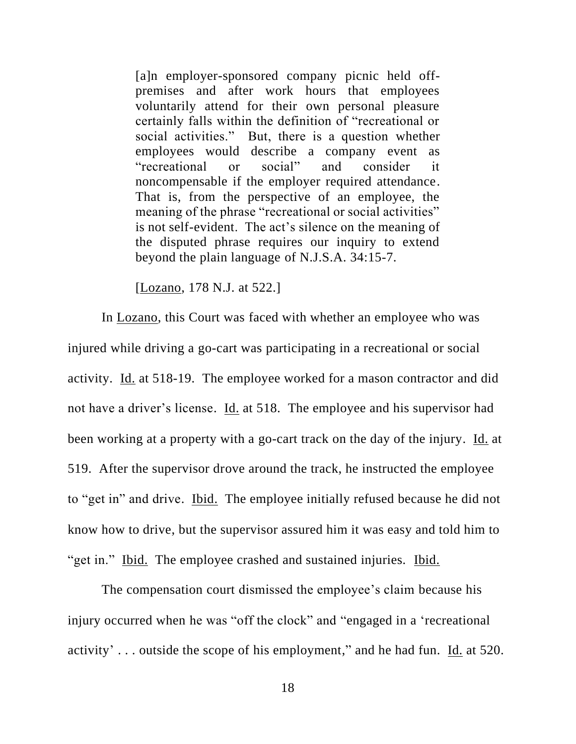[a]n employer-sponsored company picnic held offpremises and after work hours that employees voluntarily attend for their own personal pleasure certainly falls within the definition of "recreational or social activities." But, there is a question whether employees would describe a company event as "recreational or social" and consider it noncompensable if the employer required attendance. That is, from the perspective of an employee, the meaning of the phrase "recreational or social activities" is not self-evident. The act's silence on the meaning of the disputed phrase requires our inquiry to extend beyond the plain language of N.J.S.A. 34:15-7.

[Lozano, 178 N.J. at 522.]

In Lozano, this Court was faced with whether an employee who was injured while driving a go-cart was participating in a recreational or social activity. Id. at 518-19. The employee worked for a mason contractor and did not have a driver's license. Id. at 518. The employee and his supervisor had been working at a property with a go-cart track on the day of the injury. Id. at 519. After the supervisor drove around the track, he instructed the employee to "get in" and drive. Ibid. The employee initially refused because he did not know how to drive, but the supervisor assured him it was easy and told him to "get in." Ibid. The employee crashed and sustained injuries. Ibid.

The compensation court dismissed the employee's claim because his injury occurred when he was "off the clock" and "engaged in a 'recreational activity' . . . outside the scope of his employment," and he had fun. Id. at 520.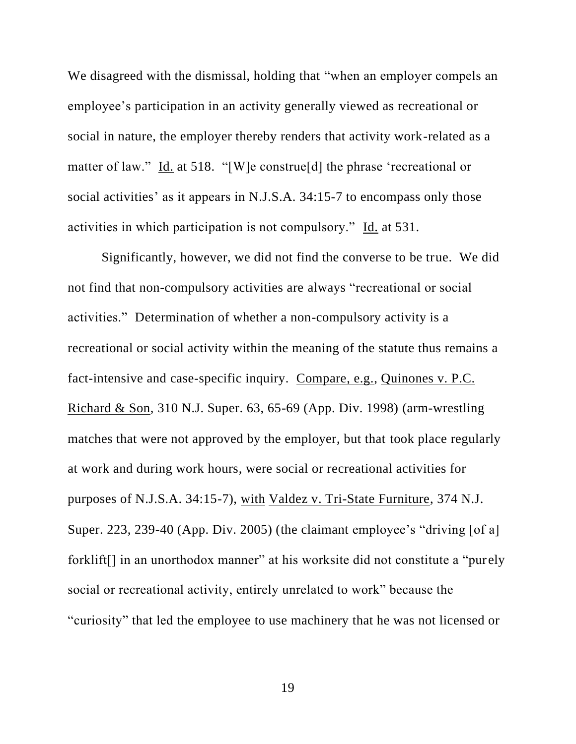We disagreed with the dismissal, holding that "when an employer compels an employee's participation in an activity generally viewed as recreational or social in nature, the employer thereby renders that activity work-related as a matter of law." Id. at 518. "[W]e construe[d] the phrase 'recreational or social activities' as it appears in N.J.S.A. 34:15-7 to encompass only those activities in which participation is not compulsory." Id. at 531.

Significantly, however, we did not find the converse to be true. We did not find that non-compulsory activities are always "recreational or social activities." Determination of whether a non-compulsory activity is a recreational or social activity within the meaning of the statute thus remains a fact-intensive and case-specific inquiry. Compare, e.g., Quinones v. P.C. Richard & Son, 310 N.J. Super. 63, 65-69 (App. Div. 1998) (arm-wrestling matches that were not approved by the employer, but that took place regularly at work and during work hours, were social or recreational activities for purposes of N.J.S.A. 34:15-7), with Valdez v. Tri-State Furniture, 374 N.J. Super. 223, 239-40 (App. Div. 2005) (the claimant employee's "driving [of a] forklift<sup>[]</sup> in an unorthodox manner" at his worksite did not constitute a "purely" social or recreational activity, entirely unrelated to work" because the "curiosity" that led the employee to use machinery that he was not licensed or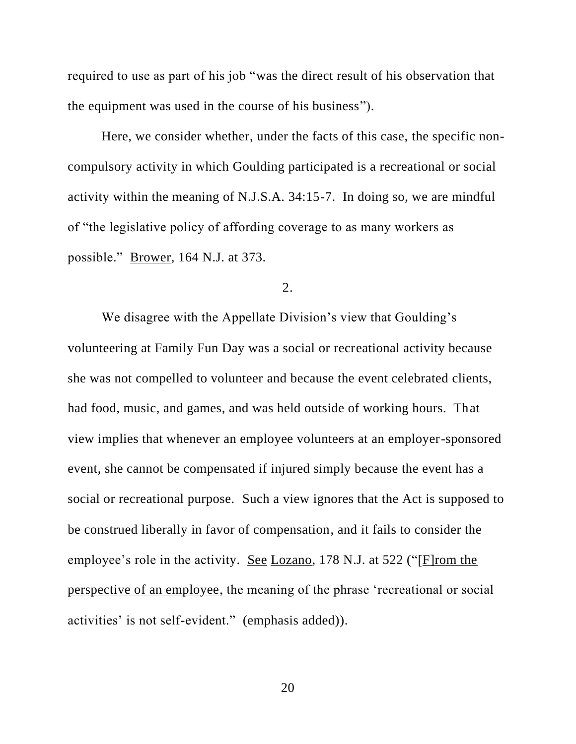required to use as part of his job "was the direct result of his observation that the equipment was used in the course of his business").

Here, we consider whether, under the facts of this case, the specific noncompulsory activity in which Goulding participated is a recreational or social activity within the meaning of N.J.S.A. 34:15-7. In doing so, we are mindful of "the legislative policy of affording coverage to as many workers as possible." Brower, 164 N.J. at 373.

2.

We disagree with the Appellate Division's view that Goulding's volunteering at Family Fun Day was a social or recreational activity because she was not compelled to volunteer and because the event celebrated clients, had food, music, and games, and was held outside of working hours. That view implies that whenever an employee volunteers at an employer-sponsored event, she cannot be compensated if injured simply because the event has a social or recreational purpose. Such a view ignores that the Act is supposed to be construed liberally in favor of compensation, and it fails to consider the employee's role in the activity. See Lozano, 178 N.J. at 522 ("[F]rom the perspective of an employee, the meaning of the phrase 'recreational or social activities' is not self-evident." (emphasis added)).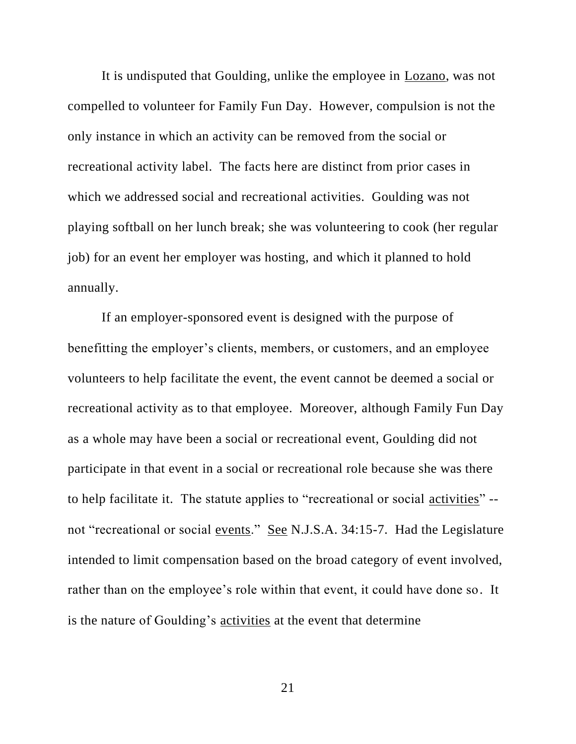It is undisputed that Goulding, unlike the employee in Lozano, was not compelled to volunteer for Family Fun Day. However, compulsion is not the only instance in which an activity can be removed from the social or recreational activity label. The facts here are distinct from prior cases in which we addressed social and recreational activities. Goulding was not playing softball on her lunch break; she was volunteering to cook (her regular job) for an event her employer was hosting, and which it planned to hold annually.

If an employer-sponsored event is designed with the purpose of benefitting the employer's clients, members, or customers, and an employee volunteers to help facilitate the event, the event cannot be deemed a social or recreational activity as to that employee. Moreover, although Family Fun Day as a whole may have been a social or recreational event, Goulding did not participate in that event in a social or recreational role because she was there to help facilitate it. The statute applies to "recreational or social activities" - not "recreational or social events." See N.J.S.A. 34:15-7. Had the Legislature intended to limit compensation based on the broad category of event involved, rather than on the employee's role within that event, it could have done so. It is the nature of Goulding's activities at the event that determine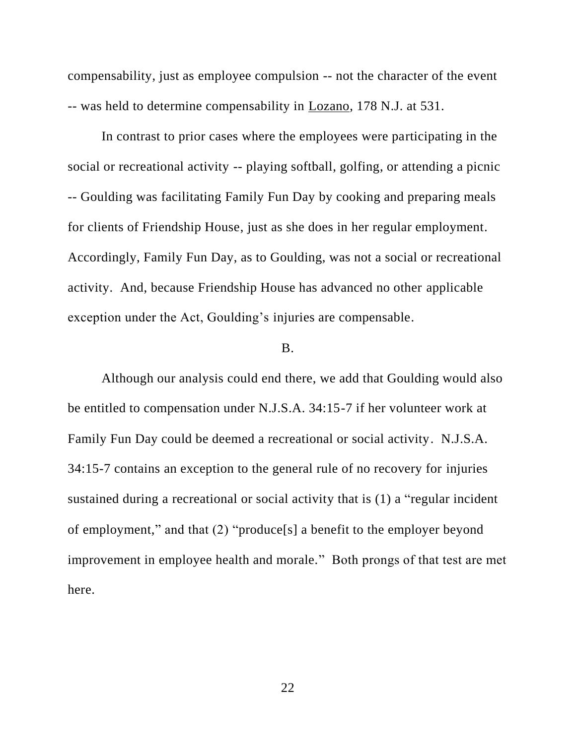compensability, just as employee compulsion -- not the character of the event -- was held to determine compensability in Lozano, 178 N.J. at 531.

In contrast to prior cases where the employees were participating in the social or recreational activity -- playing softball, golfing, or attending a picnic -- Goulding was facilitating Family Fun Day by cooking and preparing meals for clients of Friendship House, just as she does in her regular employment. Accordingly, Family Fun Day, as to Goulding, was not a social or recreational activity. And, because Friendship House has advanced no other applicable exception under the Act, Goulding's injuries are compensable.

### B.

Although our analysis could end there, we add that Goulding would also be entitled to compensation under N.J.S.A. 34:15-7 if her volunteer work at Family Fun Day could be deemed a recreational or social activity. N.J.S.A. 34:15-7 contains an exception to the general rule of no recovery for injuries sustained during a recreational or social activity that is (1) a "regular incident of employment," and that (2) "produce[s] a benefit to the employer beyond improvement in employee health and morale." Both prongs of that test are met here.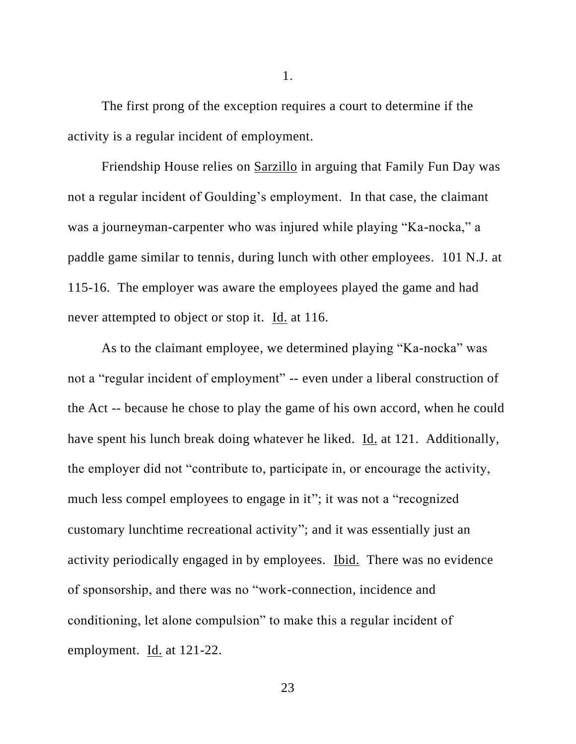The first prong of the exception requires a court to determine if the activity is a regular incident of employment.

Friendship House relies on Sarzillo in arguing that Family Fun Day was not a regular incident of Goulding's employment. In that case, the claimant was a journeyman-carpenter who was injured while playing "Ka-nocka," a paddle game similar to tennis, during lunch with other employees. 101 N.J. at 115-16. The employer was aware the employees played the game and had never attempted to object or stop it. Id. at 116.

As to the claimant employee, we determined playing "Ka-nocka" was not a "regular incident of employment" -- even under a liberal construction of the Act -- because he chose to play the game of his own accord, when he could have spent his lunch break doing whatever he liked. Id. at 121. Additionally, the employer did not "contribute to, participate in, or encourage the activity, much less compel employees to engage in it"; it was not a "recognized customary lunchtime recreational activity"; and it was essentially just an activity periodically engaged in by employees. Ibid. There was no evidence of sponsorship, and there was no "work-connection, incidence and conditioning, let alone compulsion" to make this a regular incident of employment. Id. at 121-22.

1.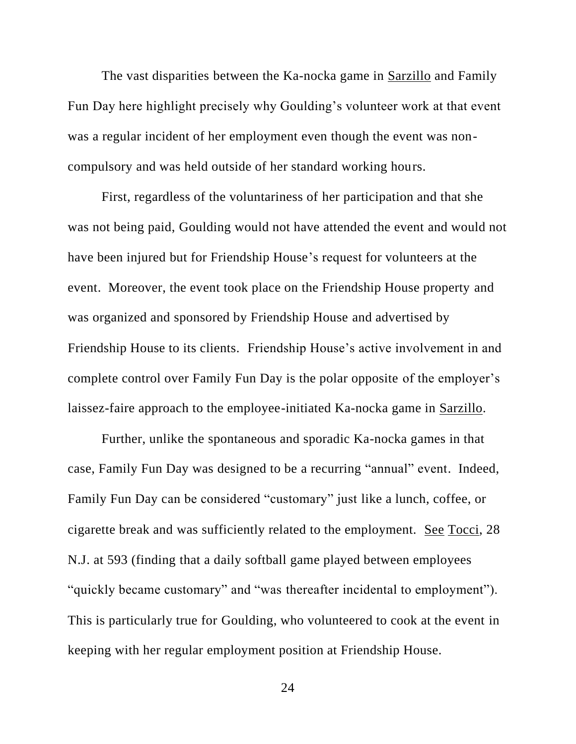The vast disparities between the Ka-nocka game in Sarzillo and Family Fun Day here highlight precisely why Goulding's volunteer work at that event was a regular incident of her employment even though the event was noncompulsory and was held outside of her standard working hours.

First, regardless of the voluntariness of her participation and that she was not being paid, Goulding would not have attended the event and would not have been injured but for Friendship House's request for volunteers at the event. Moreover, the event took place on the Friendship House property and was organized and sponsored by Friendship House and advertised by Friendship House to its clients. Friendship House's active involvement in and complete control over Family Fun Day is the polar opposite of the employer's laissez-faire approach to the employee-initiated Ka-nocka game in Sarzillo.

Further, unlike the spontaneous and sporadic Ka-nocka games in that case, Family Fun Day was designed to be a recurring "annual" event. Indeed, Family Fun Day can be considered "customary" just like a lunch, coffee, or cigarette break and was sufficiently related to the employment. See Tocci, 28 N.J. at 593 (finding that a daily softball game played between employees "quickly became customary" and "was thereafter incidental to employment"). This is particularly true for Goulding, who volunteered to cook at the event in keeping with her regular employment position at Friendship House.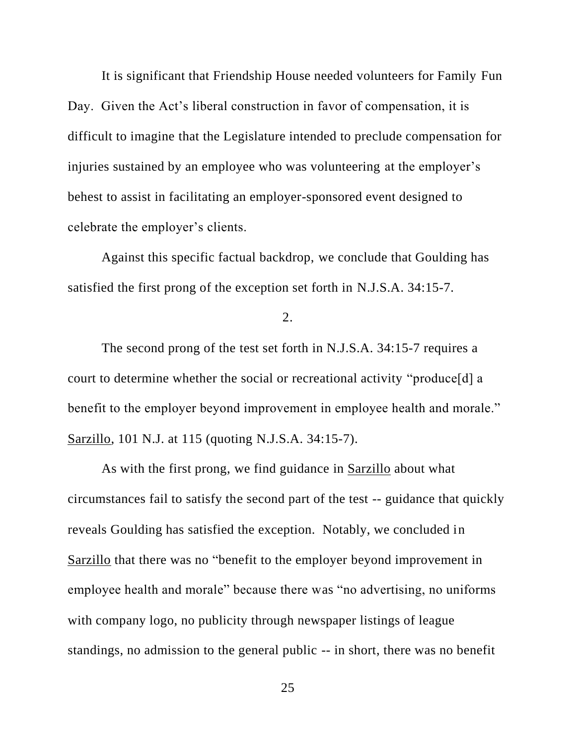It is significant that Friendship House needed volunteers for Family Fun Day. Given the Act's liberal construction in favor of compensation, it is difficult to imagine that the Legislature intended to preclude compensation for injuries sustained by an employee who was volunteering at the employer's behest to assist in facilitating an employer-sponsored event designed to celebrate the employer's clients.

Against this specific factual backdrop, we conclude that Goulding has satisfied the first prong of the exception set forth in N.J.S.A. 34:15-7.

2.

The second prong of the test set forth in N.J.S.A. 34:15-7 requires a court to determine whether the social or recreational activity "produce[d] a benefit to the employer beyond improvement in employee health and morale." Sarzillo, 101 N.J. at 115 (quoting N.J.S.A. 34:15-7).

As with the first prong, we find guidance in Sarzillo about what circumstances fail to satisfy the second part of the test -- guidance that quickly reveals Goulding has satisfied the exception. Notably, we concluded in Sarzillo that there was no "benefit to the employer beyond improvement in employee health and morale" because there was "no advertising, no uniforms with company logo, no publicity through newspaper listings of league standings, no admission to the general public -- in short, there was no benefit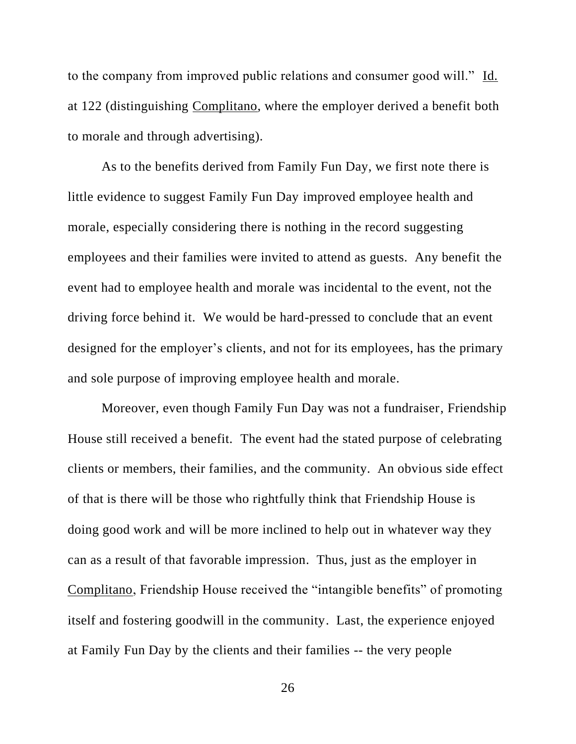to the company from improved public relations and consumer good will." Id. at 122 (distinguishing Complitano, where the employer derived a benefit both to morale and through advertising).

As to the benefits derived from Family Fun Day, we first note there is little evidence to suggest Family Fun Day improved employee health and morale, especially considering there is nothing in the record suggesting employees and their families were invited to attend as guests. Any benefit the event had to employee health and morale was incidental to the event, not the driving force behind it. We would be hard-pressed to conclude that an event designed for the employer's clients, and not for its employees, has the primary and sole purpose of improving employee health and morale.

Moreover, even though Family Fun Day was not a fundraiser, Friendship House still received a benefit. The event had the stated purpose of celebrating clients or members, their families, and the community. An obvious side effect of that is there will be those who rightfully think that Friendship House is doing good work and will be more inclined to help out in whatever way they can as a result of that favorable impression. Thus, just as the employer in Complitano, Friendship House received the "intangible benefits" of promoting itself and fostering goodwill in the community. Last, the experience enjoyed at Family Fun Day by the clients and their families -- the very people